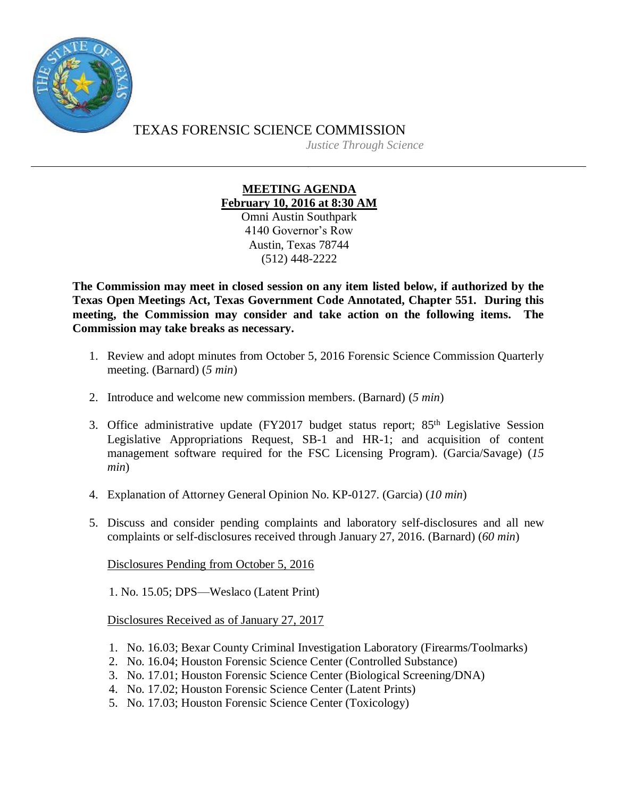

TEXAS FORENSIC SCIENCE COMMISSION *Justice Through Science*

## **MEETING AGENDA February 10, 2016 at 8:30 AM** Omni Austin Southpark

4140 Governor's Row Austin, Texas 78744 (512) 448-2222

**The Commission may meet in closed session on any item listed below, if authorized by the Texas Open Meetings Act, Texas Government Code Annotated, Chapter 551. During this meeting, the Commission may consider and take action on the following items. The Commission may take breaks as necessary.**

- 1. Review and adopt minutes from October 5, 2016 Forensic Science Commission Quarterly meeting. (Barnard) (*5 min*)
- 2. Introduce and welcome new commission members. (Barnard) (*5 min*)
- 3. Office administrative update (FY2017 budget status report; 85<sup>th</sup> Legislative Session Legislative Appropriations Request, SB-1 and HR-1; and acquisition of content management software required for the FSC Licensing Program). (Garcia/Savage) (*15 min*)
- 4. Explanation of Attorney General Opinion No. KP-0127. (Garcia) (*10 min*)
- 5. Discuss and consider pending complaints and laboratory self-disclosures and all new complaints or self-disclosures received through January 27, 2016. (Barnard) (*60 min*)

Disclosures Pending from October 5, 2016

1. No. 15.05; DPS—Weslaco (Latent Print)

Disclosures Received as of January 27, 2017

- 1. No. 16.03; Bexar County Criminal Investigation Laboratory (Firearms/Toolmarks)
- 2. No. 16.04; Houston Forensic Science Center (Controlled Substance)
- 3. No. 17.01; Houston Forensic Science Center (Biological Screening/DNA)
- 4. No. 17.02; Houston Forensic Science Center (Latent Prints)
- 5. No. 17.03; Houston Forensic Science Center (Toxicology)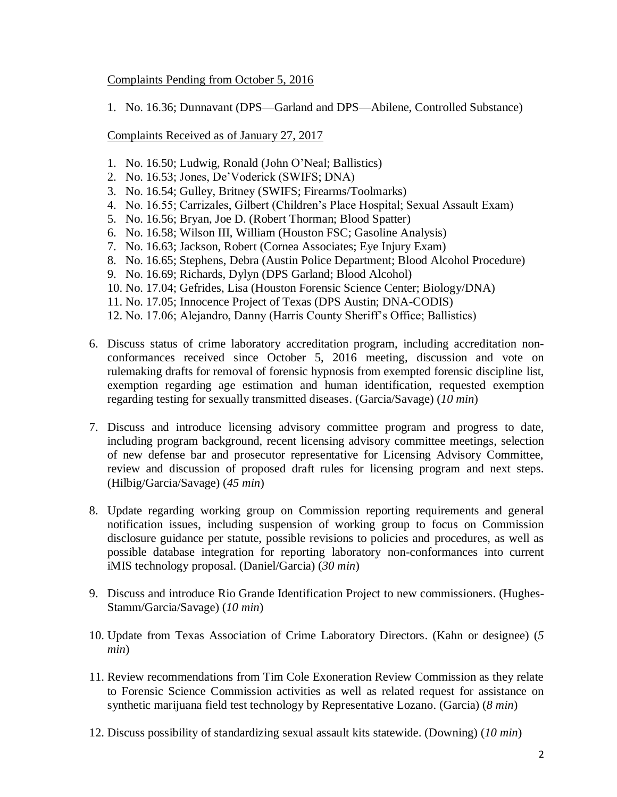## Complaints Pending from October 5, 2016

1. No. 16.36; Dunnavant (DPS—Garland and DPS—Abilene, Controlled Substance)

Complaints Received as of January 27, 2017

- 1. No. 16.50; Ludwig, Ronald (John O'Neal; Ballistics)
- 2. No. 16.53; Jones, De'Voderick (SWIFS; DNA)
- 3. No. 16.54; Gulley, Britney (SWIFS; Firearms/Toolmarks)
- 4. No. 16.55; Carrizales, Gilbert (Children's Place Hospital; Sexual Assault Exam)
- 5. No. 16.56; Bryan, Joe D. (Robert Thorman; Blood Spatter)
- 6. No. 16.58; Wilson III, William (Houston FSC; Gasoline Analysis)
- 7. No. 16.63; Jackson, Robert (Cornea Associates; Eye Injury Exam)
- 8. No. 16.65; Stephens, Debra (Austin Police Department; Blood Alcohol Procedure)
- 9. No. 16.69; Richards, Dylyn (DPS Garland; Blood Alcohol)
- 10. No. 17.04; Gefrides, Lisa (Houston Forensic Science Center; Biology/DNA)
- 11. No. 17.05; Innocence Project of Texas (DPS Austin; DNA-CODIS)
- 12. No. 17.06; Alejandro, Danny (Harris County Sheriff's Office; Ballistics)
- 6. Discuss status of crime laboratory accreditation program, including accreditation nonconformances received since October 5, 2016 meeting, discussion and vote on rulemaking drafts for removal of forensic hypnosis from exempted forensic discipline list, exemption regarding age estimation and human identification, requested exemption regarding testing for sexually transmitted diseases. (Garcia/Savage) (*10 min*)
- 7. Discuss and introduce licensing advisory committee program and progress to date, including program background, recent licensing advisory committee meetings, selection of new defense bar and prosecutor representative for Licensing Advisory Committee, review and discussion of proposed draft rules for licensing program and next steps. (Hilbig/Garcia/Savage) (*45 min*)
- 8. Update regarding working group on Commission reporting requirements and general notification issues, including suspension of working group to focus on Commission disclosure guidance per statute, possible revisions to policies and procedures, as well as possible database integration for reporting laboratory non-conformances into current iMIS technology proposal. (Daniel/Garcia) (*30 min*)
- 9. Discuss and introduce Rio Grande Identification Project to new commissioners. (Hughes-Stamm/Garcia/Savage) (*10 min*)
- 10. Update from Texas Association of Crime Laboratory Directors. (Kahn or designee) (*5 min*)
- 11. Review recommendations from Tim Cole Exoneration Review Commission as they relate to Forensic Science Commission activities as well as related request for assistance on synthetic marijuana field test technology by Representative Lozano. (Garcia) (*8 min*)
- 12. Discuss possibility of standardizing sexual assault kits statewide. (Downing) (*10 min*)